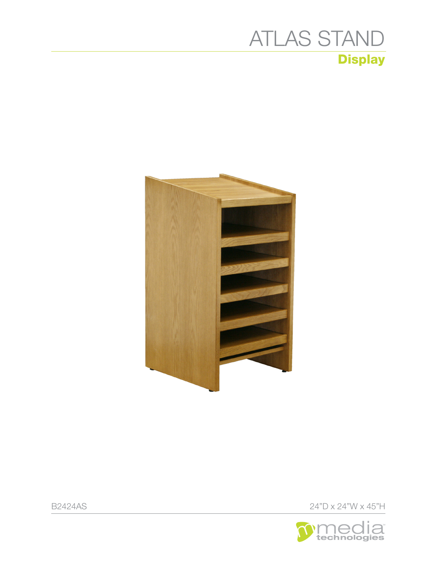## **Display** [ATLAS STAND](https://www.mediatechnologies.com/product/bookmark-atlas-stand)





B2424AS 24"D x 24"W x 45"H